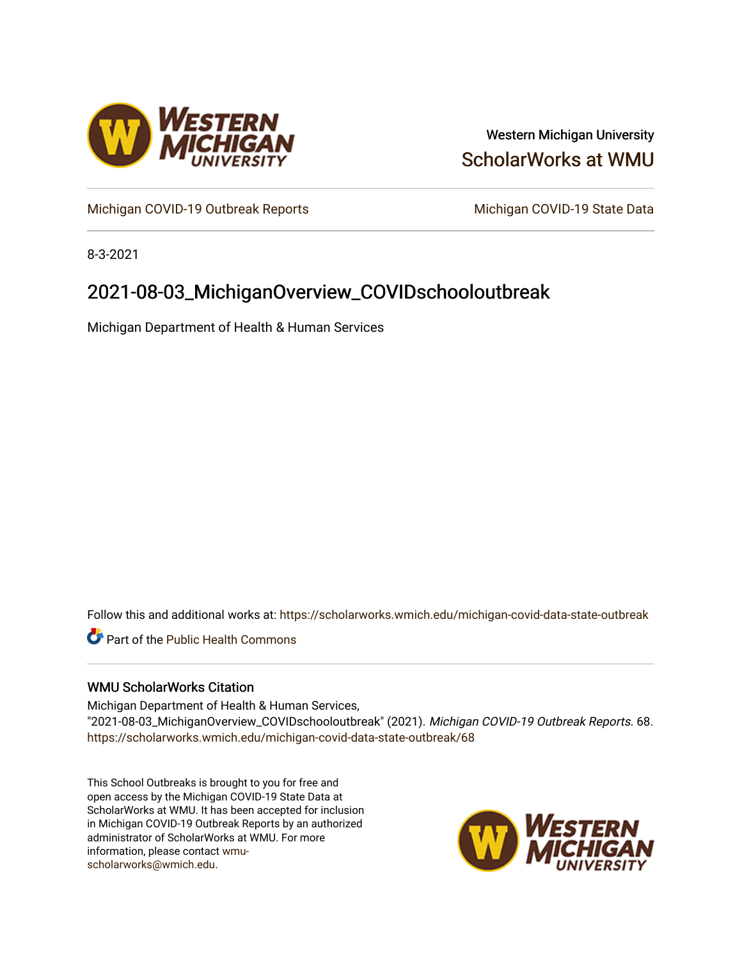

### Western Michigan University [ScholarWorks at WMU](https://scholarworks.wmich.edu/)

[Michigan COVID-19 Outbreak Reports](https://scholarworks.wmich.edu/michigan-covid-data-state-outbreak) Michigan COVID-19 State Data

8-3-2021

## 2021-08-03\_MichiganOverview\_COVIDschooloutbreak

Michigan Department of Health & Human Services

Follow this and additional works at: [https://scholarworks.wmich.edu/michigan-covid-data-state-outbreak](https://scholarworks.wmich.edu/michigan-covid-data-state-outbreak?utm_source=scholarworks.wmich.edu%2Fmichigan-covid-data-state-outbreak%2F68&utm_medium=PDF&utm_campaign=PDFCoverPages)

**C** Part of the Public Health Commons

### WMU ScholarWorks Citation

Michigan Department of Health & Human Services, "2021-08-03\_MichiganOverview\_COVIDschooloutbreak" (2021). Michigan COVID-19 Outbreak Reports. 68. [https://scholarworks.wmich.edu/michigan-covid-data-state-outbreak/68](https://scholarworks.wmich.edu/michigan-covid-data-state-outbreak/68?utm_source=scholarworks.wmich.edu%2Fmichigan-covid-data-state-outbreak%2F68&utm_medium=PDF&utm_campaign=PDFCoverPages) 

This School Outbreaks is brought to you for free and open access by the Michigan COVID-19 State Data at ScholarWorks at WMU. It has been accepted for inclusion in Michigan COVID-19 Outbreak Reports by an authorized administrator of ScholarWorks at WMU. For more information, please contact [wmu](mailto:wmu-scholarworks@wmich.edu)[scholarworks@wmich.edu.](mailto:wmu-scholarworks@wmich.edu)